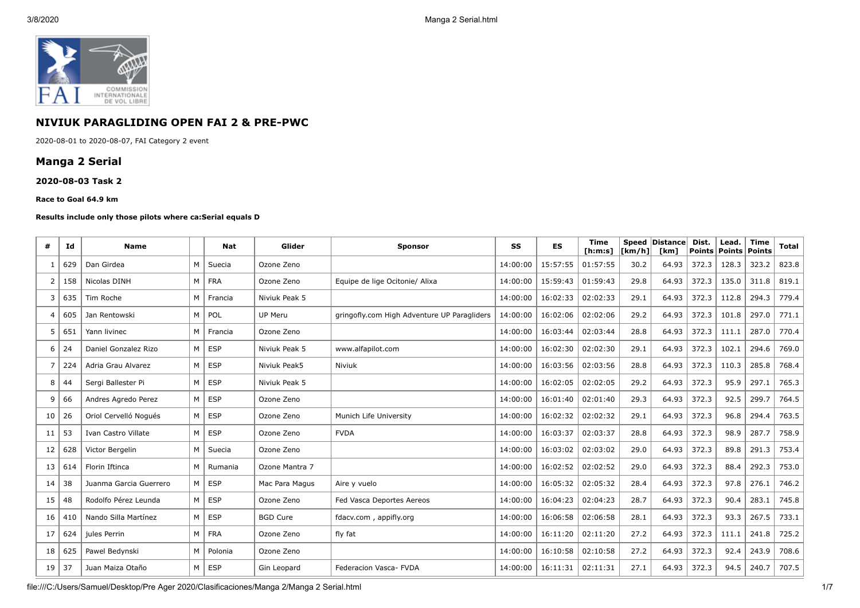

# **NIVIUK PARAGLIDING OPEN FAI 2 & PRE-PWC**

2020-08-01 to 2020-08-07, FAI Category 2 event

## **Manga 2 Serial**

#### **2020-08-03 Task 2**

#### **Race to Goal 64.9 km**

#### **Results include only those pilots where ca:Serial equals D**

| #  | Ιd  | <b>Name</b>            |   | <b>Nat</b> | Glider          | <b>Sponsor</b>                              | SS       | <b>ES</b> | <b>Time</b><br>[ <b>h</b> : <b>m</b> : <b>s</b> ] | [km/h] | Speed Distance<br>[km] | Dist.<br><b>Points</b> | Lead.<br>Points | <b>Time</b><br>Points | <b>Total</b> |
|----|-----|------------------------|---|------------|-----------------|---------------------------------------------|----------|-----------|---------------------------------------------------|--------|------------------------|------------------------|-----------------|-----------------------|--------------|
| -1 | 629 | Dan Girdea             | M | Suecia     | Ozone Zeno      |                                             | 14:00:00 | 15:57:55  | 01:57:55                                          | 30.2   | 64.93                  | 372.3                  | 128.3           | 323.2                 | 823.8        |
| 2  | 158 | Nicolas DINH           | M | <b>FRA</b> | Ozone Zeno      | Equipe de lige Ocitonie/ Alixa              | 14:00:00 | 15:59:43  | 01:59:43                                          | 29.8   | 64.93                  | 372.3                  | 135.0           | 311.8                 | 819.1        |
| 3  | 635 | Tim Roche              | M | Francia    | Niviuk Peak 5   |                                             | 14:00:00 | 16:02:33  | 02:02:33                                          | 29.1   | 64.93                  | 372.3                  | 112.8           | 294.3                 | 779.4        |
| 4  | 605 | Jan Rentowski          | M | POL        | UP Meru         | gringofly.com High Adventure UP Paragliders | 14:00:00 | 16:02:06  | 02:02:06                                          | 29.2   | 64.93                  | 372.3                  | 101.8           | 297.0                 | 771.1        |
| 5  | 651 | Yann livinec           | M | Francia    | Ozone Zeno      |                                             | 14:00:00 | 16:03:44  | 02:03:44                                          | 28.8   | 64.93                  | 372.3                  | 111.1           | 287.0                 | 770.4        |
| 6  | 24  | Daniel Gonzalez Rizo   | M | <b>ESP</b> | Niviuk Peak 5   | www.alfapilot.com                           | 14:00:00 | 16:02:30  | 02:02:30                                          | 29.1   | 64.93                  | 372.3                  | 102.1           | 294.6                 | 769.0        |
| 7  | 224 | Adria Grau Alvarez     | M | <b>ESP</b> | Niviuk Peak5    | Niviuk                                      | 14:00:00 | 16:03:56  | 02:03:56                                          | 28.8   | 64.93                  | 372.3                  | 110.3           | 285.8                 | 768.4        |
| 8  | 44  | Sergi Ballester Pi     | M | <b>ESP</b> | Niviuk Peak 5   |                                             | 14:00:00 | 16:02:05  | 02:02:05                                          | 29.2   | 64.93                  | 372.3                  | 95.9            | 297.1                 | 765.3        |
| 9  | 66  | Andres Agredo Perez    | M | <b>ESP</b> | Ozone Zeno      |                                             | 14:00:00 | 16:01:40  | 02:01:40                                          | 29.3   | 64.93                  | 372.3                  | 92.5            | 299.7                 | 764.5        |
| 10 | 26  | Oriol Cervelló Nogués  | M | <b>ESP</b> | Ozone Zeno      | Munich Life University                      | 14:00:00 | 16:02:32  | 02:02:32                                          | 29.1   | 64.93                  | 372.3                  | 96.8            | 294.4                 | 763.5        |
| 11 | 53  | Ivan Castro Villate    | M | <b>ESP</b> | Ozone Zeno      | <b>FVDA</b>                                 | 14:00:00 | 16:03:37  | 02:03:37                                          | 28.8   | 64.93                  | 372.3                  | 98.9            | 287.7                 | 758.9        |
| 12 | 628 | Victor Bergelin        | M | Suecia     | Ozone Zeno      |                                             | 14:00:00 | 16:03:02  | 02:03:02                                          | 29.0   | 64.93                  | 372.3                  | 89.8            | 291.3                 | 753.4        |
| 13 | 614 | Florin Iftinca         | M | Rumania    | Ozone Mantra 7  |                                             | 14:00:00 | 16:02:52  | 02:02:52                                          | 29.0   | 64.93                  | 372.3                  | 88.4            | 292.3                 | 753.0        |
| 14 | 38  | Juanma Garcia Guerrero | М | <b>ESP</b> | Mac Para Magus  | Aire y vuelo                                | 14:00:00 | 16:05:32  | 02:05:32                                          | 28.4   | 64.93                  | 372.3                  | 97.8            | 276.1                 | 746.2        |
| 15 | 48  | Rodolfo Pérez Leunda   | M | <b>ESP</b> | Ozone Zeno      | Fed Vasca Deportes Aereos                   | 14:00:00 | 16:04:23  | 02:04:23                                          | 28.7   | 64.93                  | 372.3                  | 90.4            | 283.1                 | 745.8        |
| 16 | 410 | Nando Silla Martínez   | M | <b>ESP</b> | <b>BGD Cure</b> | fdacv.com, appifly.org                      | 14:00:00 | 16:06:58  | 02:06:58                                          | 28.1   | 64.93                  | 372.3                  | 93.3            | 267.5                 | 733.1        |
| 17 | 624 | jules Perrin           | М | <b>FRA</b> | Ozone Zeno      | fly fat                                     | 14:00:00 | 16:11:20  | 02:11:20                                          | 27.2   | 64.93                  | 372.3                  | 111.1           | 241.8                 | 725.2        |
| 18 | 625 | Pawel Bedynski         | M | Polonia    | Ozone Zeno      |                                             | 14:00:00 | 16:10:58  | 02:10:58                                          | 27.2   | 64.93                  | 372.3                  | 92.4            | 243.9                 | 708.6        |
| 19 | 37  | Juan Maiza Otaño       | M | <b>ESP</b> | Gin Leopard     | Federacion Vasca- FVDA                      | 14:00:00 | 16:11:31  | 02:11:31                                          | 27.1   | 64.93                  | 372.3                  | 94.5            | 240.7                 | 707.5        |

file:///C:/Users/Samuel/Desktop/Pre Ager 2020/Clasificaciones/Manga 2/Manga 2 Serial.html 1/7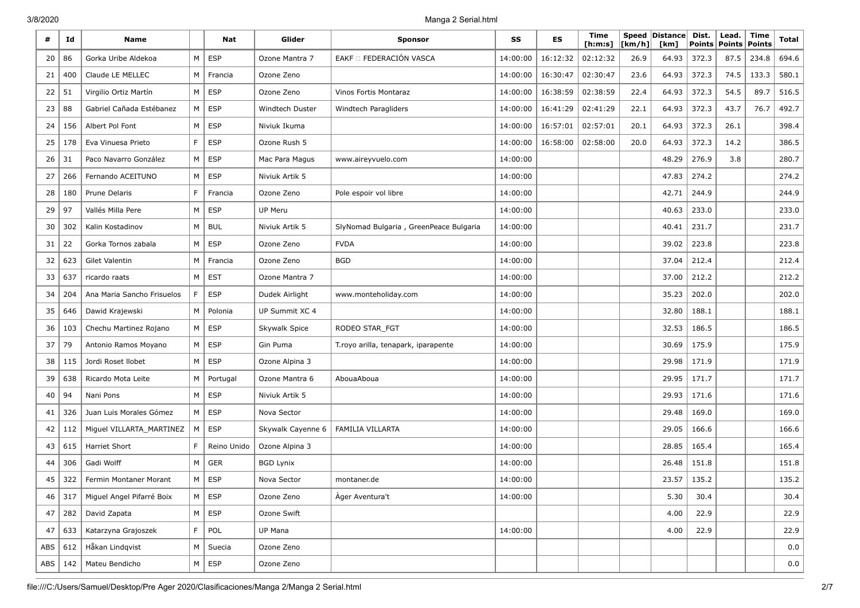| #   | Id  | <b>Name</b>                |   | Nat           | Glider            | <b>Sponsor</b>                         | SS       | ES       | <b>Time</b><br>[ <b>h</b> : <b>m</b> : <b>s</b> ] | [km/h] | Speed   Distance  <br>[km] | Dist.<br>Points | Lead.<br><b>Points</b> | Time<br>Points | Total |
|-----|-----|----------------------------|---|---------------|-------------------|----------------------------------------|----------|----------|---------------------------------------------------|--------|----------------------------|-----------------|------------------------|----------------|-------|
| 20  | 86  | Gorka Uribe Aldekoa        | M | ESP           | Ozone Mantra 7    | EAKF O FEDERACIÓN VASCA                | 14:00:00 | 16:12:32 | 02:12:32                                          | 26.9   | 64.93                      | 372.3           | 87.5                   | 234.8          | 694.6 |
| 21  | 400 | Claude LE MELLEC           | M | Francia       | Ozone Zeno        |                                        | 14:00:00 | 16:30:47 | 02:30:47                                          | 23.6   | 64.93                      | 372.3           | 74.5                   | 133.3          | 580.1 |
| 22  | 51  | Virgilio Ortiz Martín      | M | <b>ESP</b>    | Ozone Zeno        | Vinos Fortis Montaraz                  | 14:00:00 | 16:38:59 | 02:38:59                                          | 22.4   | 64.93                      | 372.3           | 54.5                   | 89.7           | 516.5 |
| 23  | 88  | Gabriel Cañada Estébanez   | M | <b>ESP</b>    | Windtech Duster   | Windtech Paragliders                   | 14:00:00 | 16:41:29 | 02:41:29                                          | 22.1   | 64.93                      | 372.3           | 43.7                   | 76.7           | 492.7 |
| 24  | 156 | Albert Pol Font            | M | <b>ESP</b>    | Niviuk Ikuma      |                                        | 14:00:00 | 16:57:01 | 02:57:01                                          | 20.1   | 64.93                      | 372.3           | 26.1                   |                | 398.4 |
| 25  | 178 | Eva Vinuesa Prieto         | F | <b>ESP</b>    | Ozone Rush 5      |                                        | 14:00:00 | 16:58:00 | 02:58:00                                          | 20.0   | 64.93                      | 372.3           | 14.2                   |                | 386.5 |
| 26  | 31  | Paco Navarro González      | M | <b>ESP</b>    | Mac Para Magus    | www.aireyvuelo.com                     | 14:00:00 |          |                                                   |        | 48.29                      | 276.9           | 3.8                    |                | 280.7 |
| 27  | 266 | Fernando ACEITUNO          | M | <b>ESP</b>    | Niviuk Artik 5    |                                        | 14:00:00 |          |                                                   |        | 47.83                      | 274.2           |                        |                | 274.2 |
| 28  | 180 | <b>Prune Delaris</b>       | F | Francia       | Ozone Zeno        | Pole espoir vol libre                  | 14:00:00 |          |                                                   |        | 42.71                      | 244.9           |                        |                | 244.9 |
| 29  | 97  | Vallés Milla Pere          | M | <b>ESP</b>    | UP Meru           |                                        | 14:00:00 |          |                                                   |        | 40.63                      | 233.0           |                        |                | 233.0 |
| 30  | 302 | Kalin Kostadinov           | M | <b>BUL</b>    | Niviuk Artik 5    | SlyNomad Bulgaria, GreenPeace Bulgaria | 14:00:00 |          |                                                   |        | 40.41                      | 231.7           |                        |                | 231.7 |
| 31  | 22  | Gorka Tornos zabala        | M | <b>ESP</b>    | Ozone Zeno        | <b>FVDA</b>                            | 14:00:00 |          |                                                   |        | 39.02                      | 223.8           |                        |                | 223.8 |
| 32  | 623 | Gilet Valentin             | M | Francia       | Ozone Zeno        | <b>BGD</b>                             | 14:00:00 |          |                                                   |        | 37.04                      | 212.4           |                        |                | 212.4 |
| 33  | 637 | ricardo raats              | M | <b>EST</b>    | Ozone Mantra 7    |                                        | 14:00:00 |          |                                                   |        | 37.00                      | 212.2           |                        |                | 212.2 |
| 34  | 204 | Ana Maria Sancho Frisuelos | F | <b>ESP</b>    | Dudek Airlight    | www.monteholiday.com                   | 14:00:00 |          |                                                   |        | 35.23                      | 202.0           |                        |                | 202.0 |
| 35  | 646 | Dawid Krajewski            | M | Polonia       | UP Summit XC 4    |                                        | 14:00:00 |          |                                                   |        | 32.80                      | 188.1           |                        |                | 188.1 |
| 36  | 103 | Chechu Martinez Rojano     | M | <b>ESP</b>    | Skywalk Spice     | RODEO STAR_FGT                         | 14:00:00 |          |                                                   |        | 32.53                      | 186.5           |                        |                | 186.5 |
| 37  | 79  | Antonio Ramos Moyano       | M | <b>ESP</b>    | Gin Puma          | T.royo arilla, tenapark, iparapente    | 14:00:00 |          |                                                   |        | 30.69                      | 175.9           |                        |                | 175.9 |
| 38  | 115 | Jordi Roset Ilobet         | M | <b>ESP</b>    | Ozone Alpina 3    |                                        | 14:00:00 |          |                                                   |        | 29.98                      | 171.9           |                        |                | 171.9 |
| 39  | 638 | Ricardo Mota Leite         | M | Portugal      | Ozone Mantra 6    | AbouaAboua                             | 14:00:00 |          |                                                   |        | 29.95                      | 171.7           |                        |                | 171.7 |
| 40  | 94  | Nani Pons                  | M | <b>ESP</b>    | Niviuk Artik 5    |                                        | 14:00:00 |          |                                                   |        | 29.93                      | 171.6           |                        |                | 171.6 |
| 41  | 326 | Juan Luis Morales Gómez    | M | <b>ESP</b>    | Nova Sector       |                                        | 14:00:00 |          |                                                   |        | 29.48                      | 169.0           |                        |                | 169.0 |
| 42  | 112 | Miguel VILLARTA_MARTINEZ   | M | <b>ESP</b>    | Skywalk Cayenne 6 | <b>FAMILIA VILLARTA</b>                | 14:00:00 |          |                                                   |        | 29.05                      | 166.6           |                        |                | 166.6 |
| 43  | 615 | <b>Harriet Short</b>       | F | Reino Unido   | Ozone Alpina 3    |                                        | 14:00:00 |          |                                                   |        | 28.85                      | 165.4           |                        |                | 165.4 |
| 44  | 306 | Gadi Wolff                 | M | <b>GER</b>    | <b>BGD Lynix</b>  |                                        | 14:00:00 |          |                                                   |        | 26.48                      | 151.8           |                        |                | 151.8 |
| 45  | 322 | Fermin Montaner Morant     | M | <b>ESP</b>    | Nova Sector       | montaner.de                            | 14:00:00 |          |                                                   |        | 23.57                      | 135.2           |                        |                | 135.2 |
| 46  | 317 | Miguel Angel Pifarré Boix  |   | $M \vert$ ESP | Ozone Zeno        | Àger Aventura't                        | 14:00:00 |          |                                                   |        | 5.30                       | 30.4            |                        |                | 30.4  |
| 47  | 282 | David Zapata               | M | <b>ESP</b>    | Ozone Swift       |                                        |          |          |                                                   |        | 4.00                       | 22.9            |                        |                | 22.9  |
| 47  | 633 | Katarzyna Grajoszek        | F | POL           | UP Mana           |                                        | 14:00:00 |          |                                                   |        | 4.00                       | 22.9            |                        |                | 22.9  |
| ABS | 612 | Håkan Lindqvist            | M | Suecia        | Ozone Zeno        |                                        |          |          |                                                   |        |                            |                 |                        |                | 0.0   |
| ABS | 142 | Mateu Bendicho             | M | ESP           | Ozone Zeno        |                                        |          |          |                                                   |        |                            |                 |                        |                | 0.0   |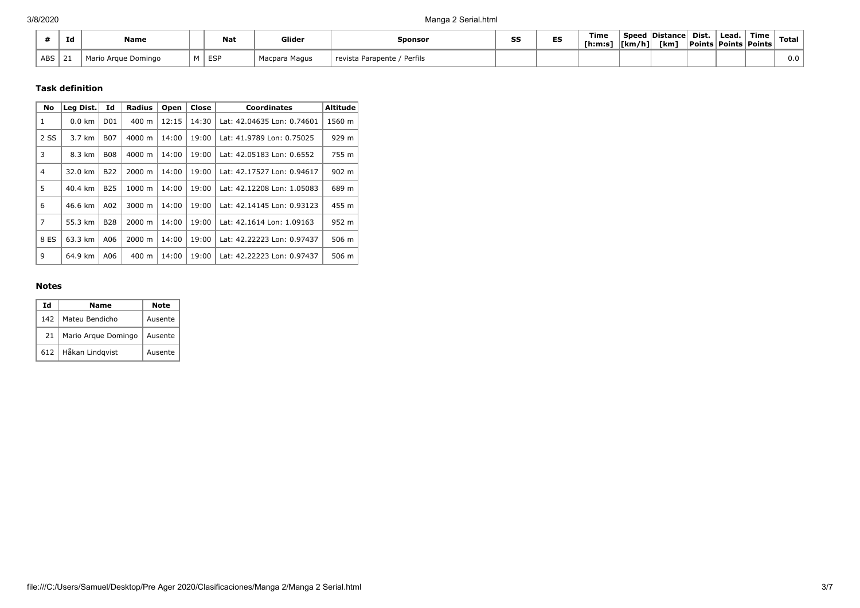|            | Ιd          | Name                              |                   | <b>Nat</b>      | Glider               | Sponsor                         | SS | ES | Time<br>[h:m:s | Speed<br> [km/h] <br>. | <b>Distance</b><br>[km] | Dist. | Lead.<br><b>Points   Points   Points  </b> | Time | Total |
|------------|-------------|-----------------------------------|-------------------|-----------------|----------------------|---------------------------------|----|----|----------------|------------------------|-------------------------|-------|--------------------------------------------|------|-------|
| <b>ABS</b> | $\sim$<br>ᅩ | Mor-<br>o Araue Dominao<br>טו וסו | <b>B</b> <i>B</i> | <b>FSP</b><br>ີ | ' Macpara ⊢<br>Magus | Perfils<br>Parapente<br>revista |    |    |                |                        |                         |       |                                            |      | 0.0   |

### **Task definition**

| No           | Leg Dist.        | Id              | <b>Radius</b> | Open  | Close | <b>Coordinates</b>         | <b>Altitude</b> |
|--------------|------------------|-----------------|---------------|-------|-------|----------------------------|-----------------|
| 1            | $0.0 \text{ km}$ | D <sub>01</sub> | 400 m         | 12:15 | 14:30 | Lat: 42.04635 Lon: 0.74601 | 1560 m          |
| 2 SS         | 3.7 km           | <b>B07</b>      | 4000 m        | 14:00 | 19:00 | Lat: 41.9789 Lon: 0.75025  | 929 m           |
| 3            | 8.3 km           | <b>B08</b>      | 4000 m        | 14:00 | 19:00 | Lat: 42.05183 Lon: 0.6552  | 755 m           |
| 4            | 32.0 km          | B <sub>22</sub> | 2000 m        | 14:00 | 19:00 | Lat: 42.17527 Lon: 0.94617 | 902 m           |
| 5            | 40.4 km          | <b>B25</b>      | 1000 m        | 14:00 | 19:00 | Lat: 42.12208 Lon: 1.05083 | 689 m           |
| 6            | 46.6 km          | A02             | 3000 m        | 14:00 | 19:00 | Lat: 42.14145 Lon: 0.93123 | 455 m           |
| 7            | 55.3 km          | <b>B28</b>      | $2000 \; m$   | 14:00 | 19:00 | Lat: 42.1614 Lon: 1.09163  | 952 m           |
| 8 ES         | 63.3 km          | A06             | $2000 \; m$   | 14:00 | 19:00 | Lat: 42.22223 Lon: 0.97437 | 506 m           |
| $\mathsf{Q}$ | 64.9 km          | A06             | 400 m         | 14:00 | 19:00 | Lat: 42.22223 Lon: 0.97437 | 506 m           |

### **Notes**

| Ιd  | Name                | Note    |
|-----|---------------------|---------|
| 142 | Mateu Bendicho      | Ausente |
| 21  | Mario Arque Domingo | Ausente |
| 612 | Håkan Lindqvist     | Ausente |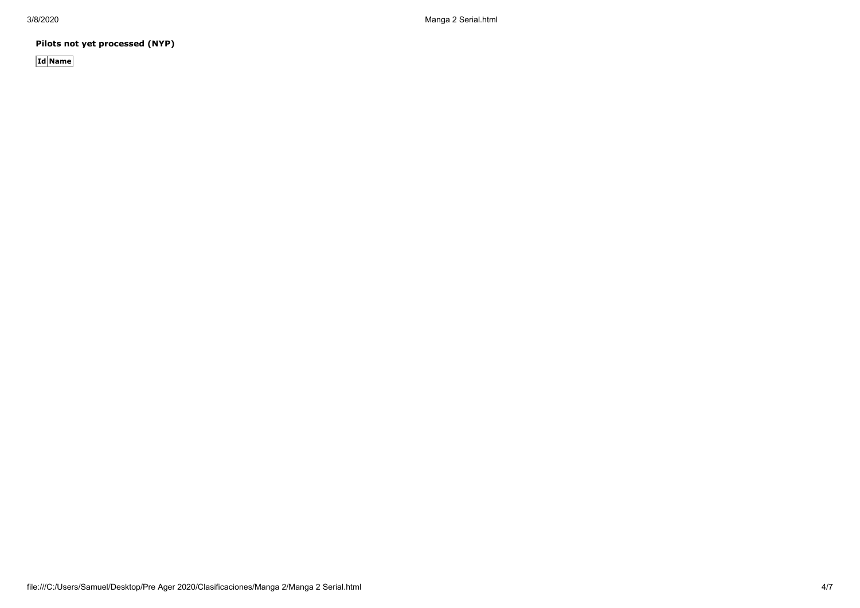**Pilots not yet processed (NYP)**

**Id Name**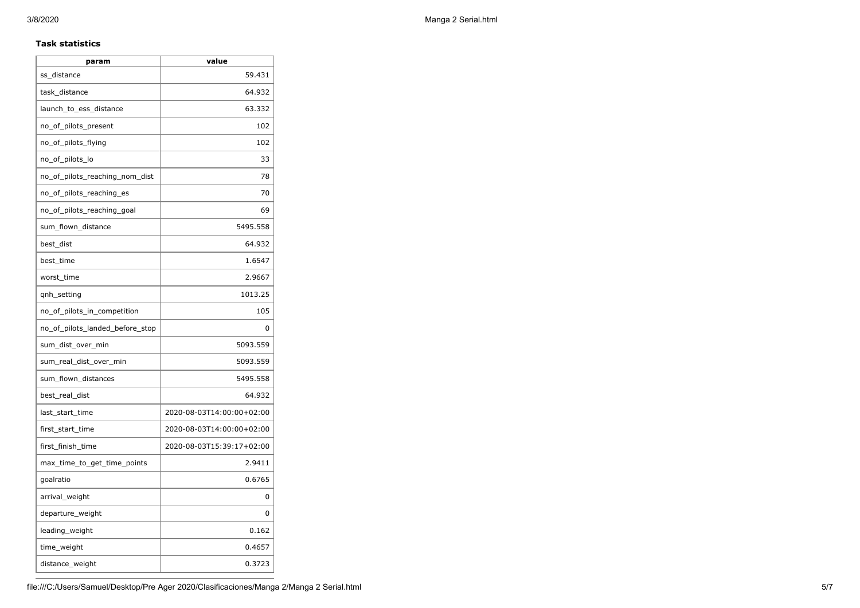### **Task statistics**

| param                           | value                     |
|---------------------------------|---------------------------|
| ss_distance                     | 59.431                    |
| task_distance                   | 64.932                    |
| launch_to_ess_distance          | 63.332                    |
| no_of_pilots_present            | 102                       |
| no_of_pilots_flying             | 102                       |
| no_of_pilots_lo                 | 33                        |
| no_of_pilots_reaching_nom_dist  | 78                        |
| no_of_pilots_reaching_es        | 70                        |
| no_of_pilots_reaching_goal      | 69                        |
| sum_flown_distance              | 5495.558                  |
| best_dist                       | 64.932                    |
| best time                       | 1.6547                    |
| worst_time                      | 2.9667                    |
| qnh_setting                     | 1013.25                   |
| no_of_pilots_in_competition     | 105                       |
| no_of_pilots_landed_before_stop | 0                         |
| sum_dist_over_min               | 5093.559                  |
| sum_real_dist_over_min          | 5093.559                  |
| sum_flown_distances             | 5495.558                  |
| best_real_dist                  | 64.932                    |
| last_start_time                 | 2020-08-03T14:00:00+02:00 |
| first_start_time                | 2020-08-03T14:00:00+02:00 |
| first_finish_time               | 2020-08-03T15:39:17+02:00 |
| max_time_to_get_time_points     | 2.9411                    |
| goalratio                       | 0.6765                    |
| arrival_weight                  | 0                         |
| departure_weight                | 0                         |
| leading_weight                  | 0.162                     |
| time_weight                     | 0.4657                    |
| distance_weight                 | 0.3723                    |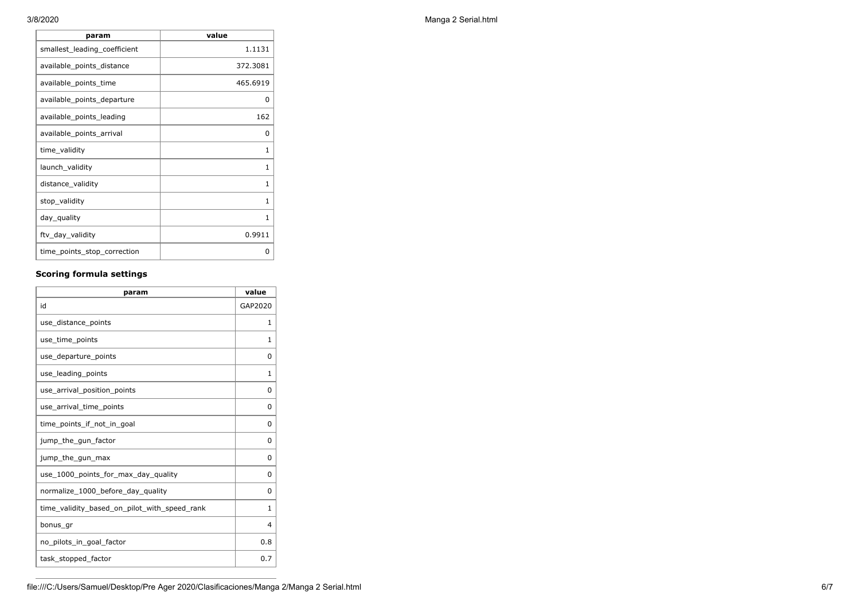| value    |
|----------|
| 1.1131   |
| 372.3081 |
| 465.6919 |
| 0        |
| 162      |
| 0        |
| 1        |
| 1        |
| 1        |
| 1        |
| 1        |
| 0.9911   |
| O        |
|          |

## **Scoring formula settings**

| param                                        | value    |
|----------------------------------------------|----------|
| id                                           | GAP2020  |
| use_distance_points                          | 1        |
| use_time_points                              | 1        |
| use_departure_points                         | $\Omega$ |
| use_leading_points                           | 1        |
| use_arrival_position_points                  | 0        |
| use_arrival_time_points                      | 0        |
| time points if not in goal                   | $\Omega$ |
| jump_the_gun_factor                          | $\Omega$ |
| jump_the_gun_max                             | 0        |
| use 1000 points for max day quality          | $\Omega$ |
| normalize_1000_before_day_quality            | 0        |
| time_validity_based_on_pilot_with_speed_rank | 1        |
| bonus_gr                                     | 4        |
| no_pilots_in_goal_factor                     | 0.8      |
| task_stopped_factor                          | 0.7      |